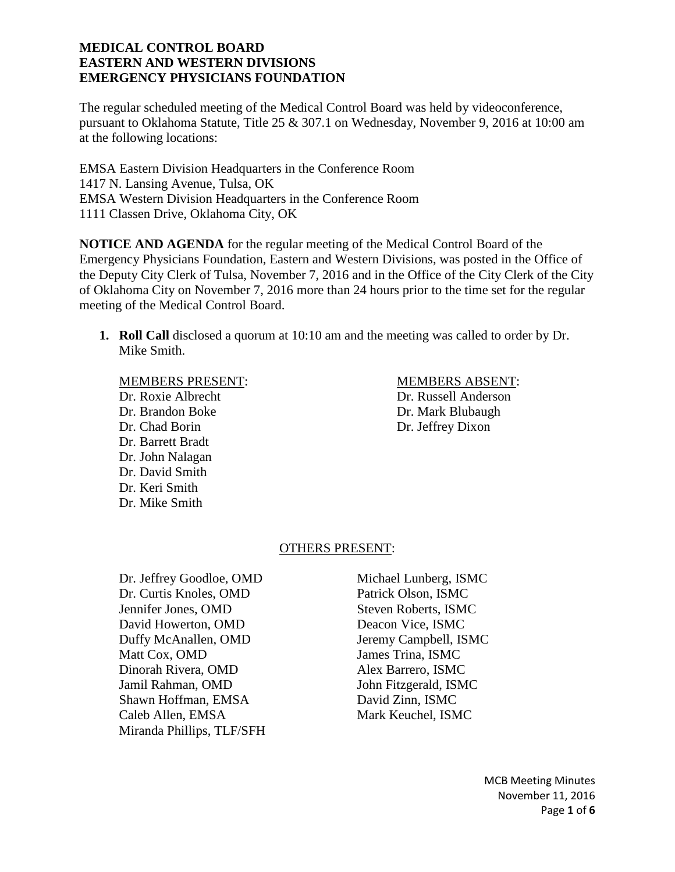The regular scheduled meeting of the Medical Control Board was held by videoconference, pursuant to Oklahoma Statute, Title 25 & 307.1 on Wednesday, November 9, 2016 at 10:00 am at the following locations:

EMSA Eastern Division Headquarters in the Conference Room 1417 N. Lansing Avenue, Tulsa, OK EMSA Western Division Headquarters in the Conference Room 1111 Classen Drive, Oklahoma City, OK

**NOTICE AND AGENDA** for the regular meeting of the Medical Control Board of the Emergency Physicians Foundation, Eastern and Western Divisions, was posted in the Office of the Deputy City Clerk of Tulsa, November 7, 2016 and in the Office of the City Clerk of the City of Oklahoma City on November 7, 2016 more than 24 hours prior to the time set for the regular meeting of the Medical Control Board.

**1. Roll Call** disclosed a quorum at 10:10 am and the meeting was called to order by Dr. Mike Smith.

Dr. Roxie Albrecht Dr. Russell Anderson Dr. Brandon Boke Dr. Mark Blubaugh Dr. Chad Borin Dr. Jeffrey Dixon Dr. Barrett Bradt Dr. John Nalagan Dr. David Smith Dr. Keri Smith Dr. Mike Smith

## MEMBERS PRESENT: MEMBERS ABSENT:

#### OTHERS PRESENT:

Dr. Jeffrey Goodloe, OMD Michael Lunberg, ISMC<br>
Dr. Curtis Knoles, OMD Patrick Olson. ISMC Dr. Curtis Knoles, OMD Jennifer Jones, OMD Steven Roberts, ISMC David Howerton, OMD Deacon Vice, ISMC Duffy McAnallen, OMD Jeremy Campbell, ISMC Matt Cox, OMD James Trina, ISMC Dinorah Rivera, OMD Alex Barrero, ISMC Jamil Rahman, OMD John Fitzgerald, ISMC Shawn Hoffman, EMSA David Zinn, ISMC Caleb Allen, EMSA Mark Keuchel, ISMC Miranda Phillips, TLF/SFH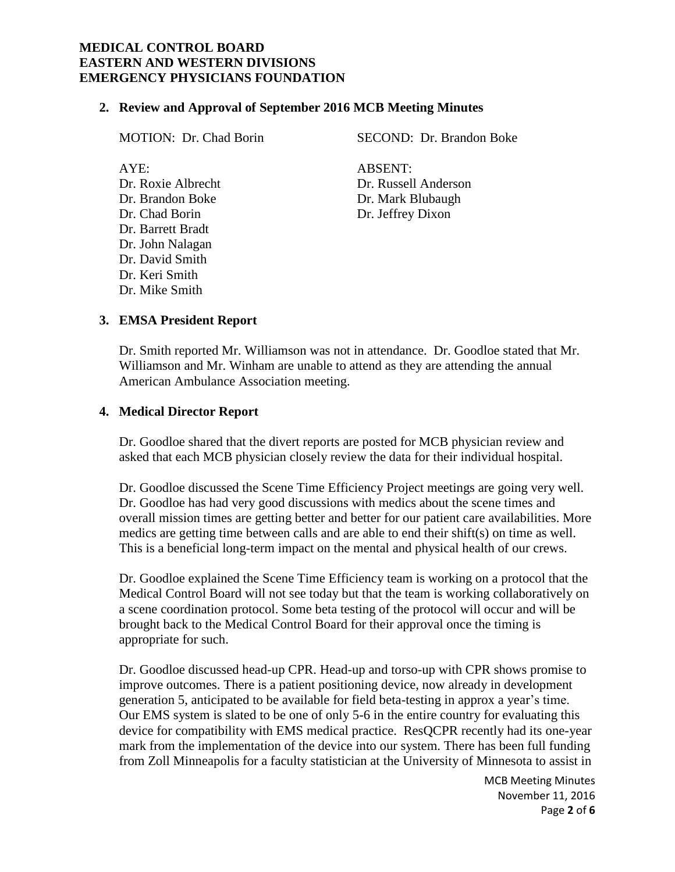#### **2. Review and Approval of September 2016 MCB Meeting Minutes**

AYE: ABSENT: Dr. Chad Borin Dr. Jeffrey Dixon Dr. Barrett Bradt Dr. John Nalagan Dr. David Smith Dr. Keri Smith Dr. Mike Smith

MOTION: Dr. Chad Borin SECOND: Dr. Brandon Boke

Dr. Roxie Albrecht Dr. Russell Anderson Dr. Brandon Boke Dr. Mark Blubaugh

## **3. EMSA President Report**

Dr. Smith reported Mr. Williamson was not in attendance. Dr. Goodloe stated that Mr. Williamson and Mr. Winham are unable to attend as they are attending the annual American Ambulance Association meeting.

#### **4. Medical Director Report**

Dr. Goodloe shared that the divert reports are posted for MCB physician review and asked that each MCB physician closely review the data for their individual hospital.

Dr. Goodloe discussed the Scene Time Efficiency Project meetings are going very well. Dr. Goodloe has had very good discussions with medics about the scene times and overall mission times are getting better and better for our patient care availabilities. More medics are getting time between calls and are able to end their shift(s) on time as well. This is a beneficial long-term impact on the mental and physical health of our crews.

Dr. Goodloe explained the Scene Time Efficiency team is working on a protocol that the Medical Control Board will not see today but that the team is working collaboratively on a scene coordination protocol. Some beta testing of the protocol will occur and will be brought back to the Medical Control Board for their approval once the timing is appropriate for such.

Dr. Goodloe discussed head-up CPR. Head-up and torso-up with CPR shows promise to improve outcomes. There is a patient positioning device, now already in development generation 5, anticipated to be available for field beta-testing in approx a year's time. Our EMS system is slated to be one of only 5-6 in the entire country for evaluating this device for compatibility with EMS medical practice. ResQCPR recently had its one-year mark from the implementation of the device into our system. There has been full funding from Zoll Minneapolis for a faculty statistician at the University of Minnesota to assist in

> MCB Meeting Minutes November 11, 2016 Page **2** of **6**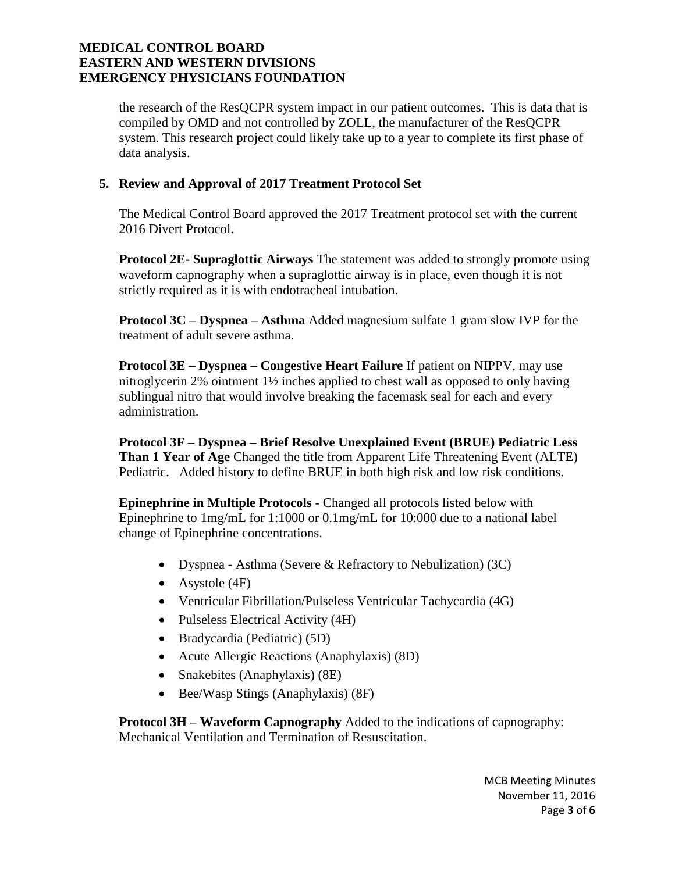the research of the ResQCPR system impact in our patient outcomes. This is data that is compiled by OMD and not controlled by ZOLL, the manufacturer of the ResQCPR system. This research project could likely take up to a year to complete its first phase of data analysis.

## **5. Review and Approval of 2017 Treatment Protocol Set**

The Medical Control Board approved the 2017 Treatment protocol set with the current 2016 Divert Protocol.

**Protocol 2E- Supraglottic Airways** The statement was added to strongly promote using waveform capnography when a supraglottic airway is in place, even though it is not strictly required as it is with endotracheal intubation.

**Protocol 3C – Dyspnea – Asthma** Added magnesium sulfate 1 gram slow IVP for the treatment of adult severe asthma.

**Protocol 3E – Dyspnea – Congestive Heart Failure** If patient on NIPPV, may use nitroglycerin 2% ointment 1½ inches applied to chest wall as opposed to only having sublingual nitro that would involve breaking the facemask seal for each and every administration.

**Protocol 3F – Dyspnea – Brief Resolve Unexplained Event (BRUE) Pediatric Less Than 1 Year of Age** Changed the title from Apparent Life Threatening Event (ALTE) Pediatric. Added history to define BRUE in both high risk and low risk conditions.

**Epinephrine in Multiple Protocols -** Changed all protocols listed below with Epinephrine to 1mg/mL for 1:1000 or 0.1mg/mL for 10:000 due to a national label change of Epinephrine concentrations.

- Dyspnea Asthma (Severe & Refractory to Nebulization) (3C)
- Asystole  $(4F)$
- Ventricular Fibrillation/Pulseless Ventricular Tachycardia (4G)
- Pulseless Electrical Activity (4H)
- Bradycardia (Pediatric) (5D)
- Acute Allergic Reactions (Anaphylaxis) (8D)
- Snakebites (Anaphylaxis) (8E)
- Bee/Wasp Stings (Anaphylaxis) (8F)

**Protocol 3H – Waveform Capnography** Added to the indications of capnography: Mechanical Ventilation and Termination of Resuscitation.

> MCB Meeting Minutes November 11, 2016 Page **3** of **6**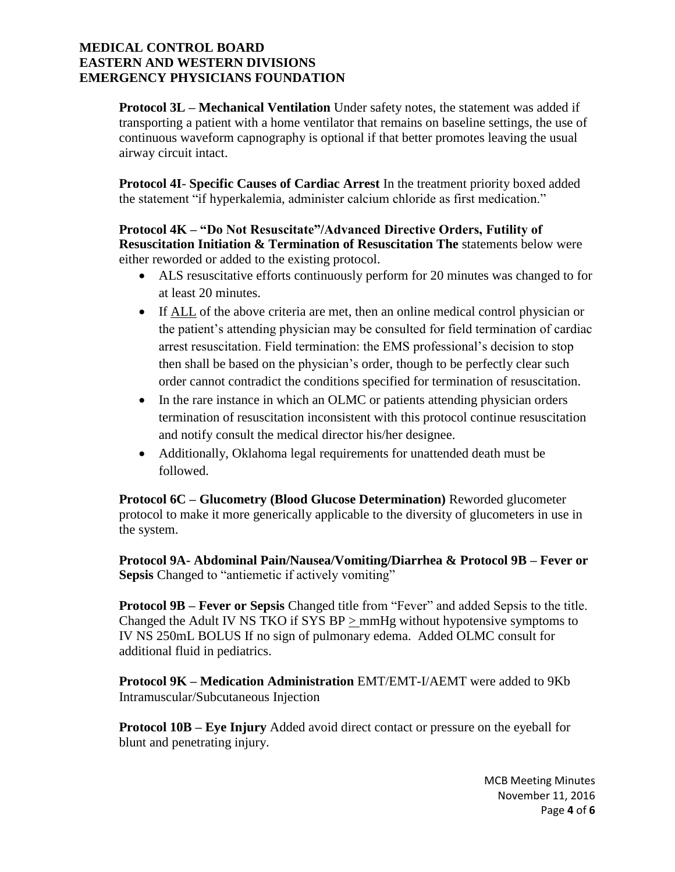**Protocol 3L – Mechanical Ventilation** Under safety notes, the statement was added if transporting a patient with a home ventilator that remains on baseline settings, the use of continuous waveform capnography is optional if that better promotes leaving the usual airway circuit intact.

**Protocol 4I**- **Specific Causes of Cardiac Arrest** In the treatment priority boxed added the statement "if hyperkalemia, administer calcium chloride as first medication."

## **Protocol 4K – "Do Not Resuscitate"/Advanced Directive Orders, Futility of Resuscitation Initiation & Termination of Resuscitation The** statements below were either reworded or added to the existing protocol.

- ALS resuscitative efforts continuously perform for 20 minutes was changed to for at least 20 minutes.
- If ALL of the above criteria are met, then an online medical control physician or the patient's attending physician may be consulted for field termination of cardiac arrest resuscitation. Field termination: the EMS professional's decision to stop then shall be based on the physician's order, though to be perfectly clear such order cannot contradict the conditions specified for termination of resuscitation.
- In the rare instance in which an OLMC or patients attending physician orders termination of resuscitation inconsistent with this protocol continue resuscitation and notify consult the medical director his/her designee.
- Additionally, Oklahoma legal requirements for unattended death must be followed.

**Protocol 6C – Glucometry (Blood Glucose Determination)** Reworded glucometer protocol to make it more generically applicable to the diversity of glucometers in use in the system.

**Protocol 9A- Abdominal Pain/Nausea/Vomiting/Diarrhea & Protocol 9B – Fever or Sepsis** Changed to "antiemetic if actively vomiting"

**Protocol 9B – Fever or Sepsis** Changed title from "Fever" and added Sepsis to the title. Changed the Adult IV NS TKO if SYS BP > mmHg without hypotensive symptoms to IV NS 250mL BOLUS If no sign of pulmonary edema. Added OLMC consult for additional fluid in pediatrics.

**Protocol 9K – Medication Administration** EMT/EMT-I/AEMT were added to 9Kb Intramuscular/Subcutaneous Injection

**Protocol 10B – Eye Injury** Added avoid direct contact or pressure on the eyeball for blunt and penetrating injury.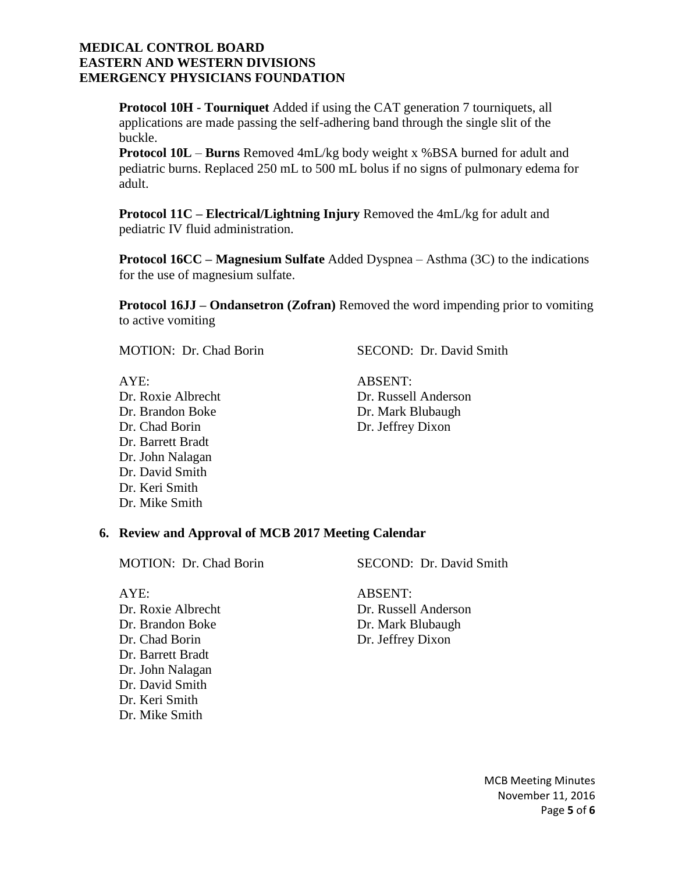**Protocol 10H - Tourniquet** Added if using the CAT generation 7 tourniquets, all applications are made passing the self-adhering band through the single slit of the buckle.

**Protocol 10L** – **Burns** Removed 4mL/kg body weight x %BSA burned for adult and pediatric burns. Replaced 250 mL to 500 mL bolus if no signs of pulmonary edema for adult.

**Protocol 11C – Electrical/Lightning Injury** Removed the 4mL/kg for adult and pediatric IV fluid administration.

**Protocol 16CC – Magnesium Sulfate** Added Dyspnea – Asthma (3C) to the indications for the use of magnesium sulfate.

**Protocol 16JJ – Ondansetron (Zofran)** Removed the word impending prior to vomiting to active vomiting

MOTION: Dr. Chad Borin SECOND: Dr. David Smith

AYE: ABSENT: Dr. Chad Borin Dr. Jeffrey Dixon Dr. Barrett Bradt Dr. John Nalagan Dr. David Smith Dr. Keri Smith Dr. Mike Smith

Dr. Roxie Albrecht Dr. Russell Anderson Dr. Brandon Boke Dr. Mark Blubaugh

#### **6. Review and Approval of MCB 2017 Meeting Calendar**

MOTION: Dr. Chad Borin SECOND: Dr. David Smith

AYE: ARSENT: Dr. Brandon Boke Dr. Mark Blubaugh Dr. Chad Borin Dr. Jeffrey Dixon Dr. Barrett Bradt Dr. John Nalagan Dr. David Smith Dr. Keri Smith Dr. Mike Smith

Dr. Roxie Albrecht Dr. Russell Anderson

MCB Meeting Minutes November 11, 2016 Page **5** of **6**